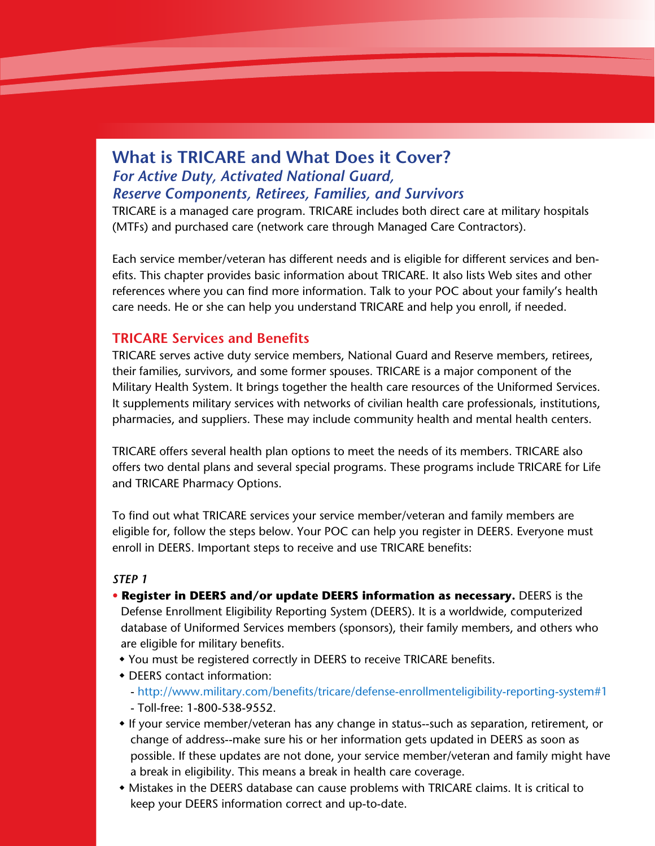# **What is TRICARE and What Does it Cover?** *For Active Duty, Activated National Guard, Reserve Components, Retirees, Families, and Survivors*

TRICARE is a managed care program. TRICARE includes both direct care at military hospitals (MTFs) and purchased care (network care through Managed Care Contractors).

Each service member/veteran has different needs and is eligible for different services and benefits. This chapter provides basic information about TRICARE. It also lists Web sites and other references where you can find more information. Talk to your POC about your family's health care needs. He or she can help you understand TRICARE and help you enroll, if needed.

# **TRICARE Services and Benefits**

TRICARE serves active duty service members, National Guard and Reserve members, retirees, their families, survivors, and some former spouses. TRICARE is a major component of the Military Health System. It brings together the health care resources of the Uniformed Services. It supplements military services with networks of civilian health care professionals, institutions, pharmacies, and suppliers. These may include community health and mental health centers.

TRICARE offers several health plan options to meet the needs of its members. TRICARE also offers two dental plans and several special programs. These programs include TRICARE for Life and TRICARE Pharmacy Options.

To find out what TRICARE services your service member/veteran and family members are eligible for, follow the steps below. Your POC can help you register in DEERS. Everyone must enroll in DEERS. Important steps to receive and use TRICARE benefits:

## *STEP 1*

- **Register in DEERS and/or update DEERS information as necessary.** DEERS is the Defense Enrollment Eligibility Reporting System (DEERS). It is a worldwide, computerized database of Uniformed Services members (sponsors), their family members, and others who are eligible for military benefits.
- You must be registered correctly in DEERS to receive TRICARE benefits.
- DEERS contact information:
	- http://www.military.com/benefits/tricare/defense-enrollmenteligibility-reporting-system#1 - Toll-free: 1-800-538-9552.
- If your service member/veteran has any change in status--such as separation, retirement, or change of address--make sure his or her information gets updated in DEERS as soon as possible. If these updates are not done, your service member/veteran and family might have a break in eligibility. This means a break in health care coverage.
- Mistakes in the DEERS database can cause problems with TRICARE claims. It is critical to keep your DEERS information correct and up-to-date.